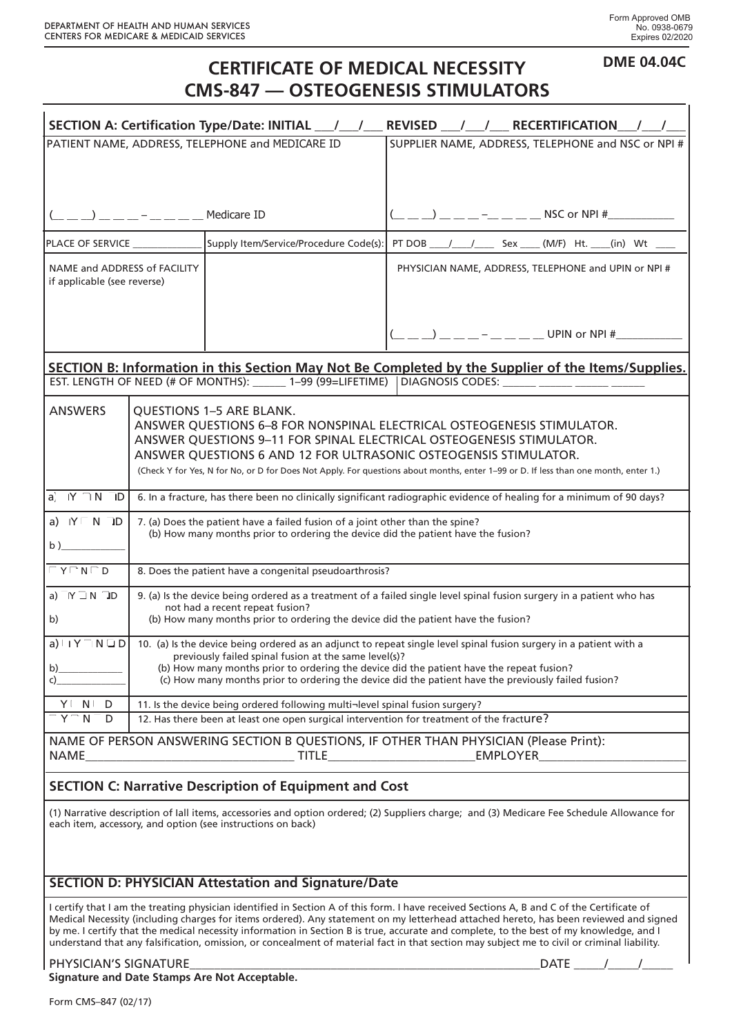**DME 04.04C**

## **CERTIFICATE OF MEDICAL NECESSITY CMS-847 — OSTEOGENESIS STIMULATORS**

| SECTION A: Certification Type/Date: INITIAL __/ __/ __ REVISED __/ __/ __ RECERTIFICATION __                                                                                                                                                                                                                                                                                                                                                                                                                                                                                  |  |                                                                                                                                                                    |                                                                                                                                                                                                                                                                                                                                                                                      |  |
|-------------------------------------------------------------------------------------------------------------------------------------------------------------------------------------------------------------------------------------------------------------------------------------------------------------------------------------------------------------------------------------------------------------------------------------------------------------------------------------------------------------------------------------------------------------------------------|--|--------------------------------------------------------------------------------------------------------------------------------------------------------------------|--------------------------------------------------------------------------------------------------------------------------------------------------------------------------------------------------------------------------------------------------------------------------------------------------------------------------------------------------------------------------------------|--|
| PATIENT NAME, ADDRESS, TELEPHONE and MEDICARE ID                                                                                                                                                                                                                                                                                                                                                                                                                                                                                                                              |  |                                                                                                                                                                    | SUPPLIER NAME, ADDRESS, TELEPHONE and NSC or NPI #                                                                                                                                                                                                                                                                                                                                   |  |
|                                                                                                                                                                                                                                                                                                                                                                                                                                                                                                                                                                               |  |                                                                                                                                                                    |                                                                                                                                                                                                                                                                                                                                                                                      |  |
|                                                                                                                                                                                                                                                                                                                                                                                                                                                                                                                                                                               |  |                                                                                                                                                                    |                                                                                                                                                                                                                                                                                                                                                                                      |  |
|                                                                                                                                                                                                                                                                                                                                                                                                                                                                                                                                                                               |  | Medicare ID                                                                                                                                                        | $\overline{a}$ $\overline{a}$ $\overline{a}$ $\overline{a}$ $\overline{a}$ $\overline{a}$ $\overline{a}$ $\overline{a}$ $\overline{a}$ $\overline{a}$ $\overline{a}$ $\overline{a}$ $\overline{a}$ $\overline{a}$ $\overline{a}$ $\overline{a}$ $\overline{a}$ $\overline{a}$ $\overline{a}$ $\overline{a}$ $\overline{a}$ $\overline{a}$ $\overline{a}$ $\overline{a}$ $\overline{$ |  |
| PLACE OF SERVICE                                                                                                                                                                                                                                                                                                                                                                                                                                                                                                                                                              |  | Supply Item/Service/Procedure Code(s):                                                                                                                             | PT DOB ____/ ____/ ______ Sex _____ (M/F) Ht. ____(in) Wt ____                                                                                                                                                                                                                                                                                                                       |  |
| NAME and ADDRESS of FACILITY<br>if applicable (see reverse)                                                                                                                                                                                                                                                                                                                                                                                                                                                                                                                   |  |                                                                                                                                                                    | PHYSICIAN NAME, ADDRESS, TELEPHONE and UPIN or NPI #                                                                                                                                                                                                                                                                                                                                 |  |
|                                                                                                                                                                                                                                                                                                                                                                                                                                                                                                                                                                               |  |                                                                                                                                                                    | $-$ __ __ __ UPIN or NPI #__________                                                                                                                                                                                                                                                                                                                                                 |  |
| <b>SECTION B: Information in this Section May Not Be Completed by the Supplier of the Items/Supplies.</b><br>EST. LENGTH OF NEED (# OF MONTHS): ______ 1–99 (99=LIFETIME)   DIAGNOSIS CODES: ______ _____ _____                                                                                                                                                                                                                                                                                                                                                               |  |                                                                                                                                                                    |                                                                                                                                                                                                                                                                                                                                                                                      |  |
|                                                                                                                                                                                                                                                                                                                                                                                                                                                                                                                                                                               |  |                                                                                                                                                                    |                                                                                                                                                                                                                                                                                                                                                                                      |  |
| <b>ANSWERS</b>                                                                                                                                                                                                                                                                                                                                                                                                                                                                                                                                                                |  | <b>QUESTIONS 1-5 ARE BLANK.</b>                                                                                                                                    | ANSWER QUESTIONS 6-8 FOR NONSPINAL ELECTRICAL OSTEOGENESIS STIMULATOR.<br>ANSWER QUESTIONS 9-11 FOR SPINAL ELECTRICAL OSTEOGENESIS STIMULATOR.<br>ANSWER QUESTIONS 6 AND 12 FOR ULTRASONIC OSTEOGENSIS STIMULATOR.<br>(Check Y for Yes, N for No, or D for Does Not Apply. For questions about months, enter 1-99 or D. If less than one month, enter 1.)                            |  |
| $a'$ $N' \cap N$<br>ID                                                                                                                                                                                                                                                                                                                                                                                                                                                                                                                                                        |  |                                                                                                                                                                    | 6. In a fracture, has there been no clinically significant radiographic evidence of healing for a minimum of 90 days?                                                                                                                                                                                                                                                                |  |
| a) IY N ID<br>b)                                                                                                                                                                                                                                                                                                                                                                                                                                                                                                                                                              |  | 7. (a) Does the patient have a failed fusion of a joint other than the spine?<br>(b) How many months prior to ordering the device did the patient have the fusion? |                                                                                                                                                                                                                                                                                                                                                                                      |  |
| $Y \cap N \cap D$                                                                                                                                                                                                                                                                                                                                                                                                                                                                                                                                                             |  | 8. Does the patient have a congenital pseudoarthrosis?                                                                                                             |                                                                                                                                                                                                                                                                                                                                                                                      |  |
| a) $IY \square N \square D$<br>b)                                                                                                                                                                                                                                                                                                                                                                                                                                                                                                                                             |  | not had a recent repeat fusion?<br>(b) How many months prior to ordering the device did the patient have the fusion?                                               | 9. (a) Is the device being ordered as a treatment of a failed single level spinal fusion surgery in a patient who has                                                                                                                                                                                                                                                                |  |
| a) $\mid$   Y $\top$ N $\sqcup$ D<br>$\mathsf{b}$<br>c)                                                                                                                                                                                                                                                                                                                                                                                                                                                                                                                       |  | previously failed spinal fusion at the same level(s)?                                                                                                              | 10. (a) Is the device being ordered as an adjunct to repeat single level spinal fusion surgery in a patient with a<br>(b) How many months prior to ordering the device did the patient have the repeat fusion?<br>(c) How many months prior to ordering the device did the patient have the previously failed fusion?                                                                |  |
| Y N<br>D                                                                                                                                                                                                                                                                                                                                                                                                                                                                                                                                                                      |  | 11. Is the device being ordered following multi-level spinal fusion surgery?                                                                                       |                                                                                                                                                                                                                                                                                                                                                                                      |  |
| $Y - N$<br>D                                                                                                                                                                                                                                                                                                                                                                                                                                                                                                                                                                  |  | 12. Has there been at least one open surgical intervention for treatment of the fracture?                                                                          |                                                                                                                                                                                                                                                                                                                                                                                      |  |
| NAME OF PERSON ANSWERING SECTION B QUESTIONS, IF OTHER THAN PHYSICIAN (Please Print):<br><b>NAME</b>                                                                                                                                                                                                                                                                                                                                                                                                                                                                          |  |                                                                                                                                                                    |                                                                                                                                                                                                                                                                                                                                                                                      |  |
| <b>SECTION C: Narrative Description of Equipment and Cost</b>                                                                                                                                                                                                                                                                                                                                                                                                                                                                                                                 |  |                                                                                                                                                                    |                                                                                                                                                                                                                                                                                                                                                                                      |  |
| (1) Narrative description of Iall items, accessories and option ordered; (2) Suppliers charge; and (3) Medicare Fee Schedule Allowance for<br>each item, accessory, and option (see instructions on back)                                                                                                                                                                                                                                                                                                                                                                     |  |                                                                                                                                                                    |                                                                                                                                                                                                                                                                                                                                                                                      |  |
| <b>SECTION D: PHYSICIAN Attestation and Signature/Date</b>                                                                                                                                                                                                                                                                                                                                                                                                                                                                                                                    |  |                                                                                                                                                                    |                                                                                                                                                                                                                                                                                                                                                                                      |  |
| I certify that I am the treating physician identified in Section A of this form. I have received Sections A, B and C of the Certificate of<br>Medical Necessity (including charges for items ordered). Any statement on my letterhead attached hereto, has been reviewed and signed<br>by me. I certify that the medical necessity information in Section B is true, accurate and complete, to the best of my knowledge, and I<br>understand that any falsification, omission, or concealment of material fact in that section may subject me to civil or criminal liability. |  |                                                                                                                                                                    |                                                                                                                                                                                                                                                                                                                                                                                      |  |
| PHYSICIAN'S SIGNATURE<br>$\begin{array}{cccccccccc}\n\text{DATE} & & / & / & \quad \text{---} \\ \end{array}$                                                                                                                                                                                                                                                                                                                                                                                                                                                                 |  |                                                                                                                                                                    |                                                                                                                                                                                                                                                                                                                                                                                      |  |

**Signature and Date Stamps Are Not Acceptable.**